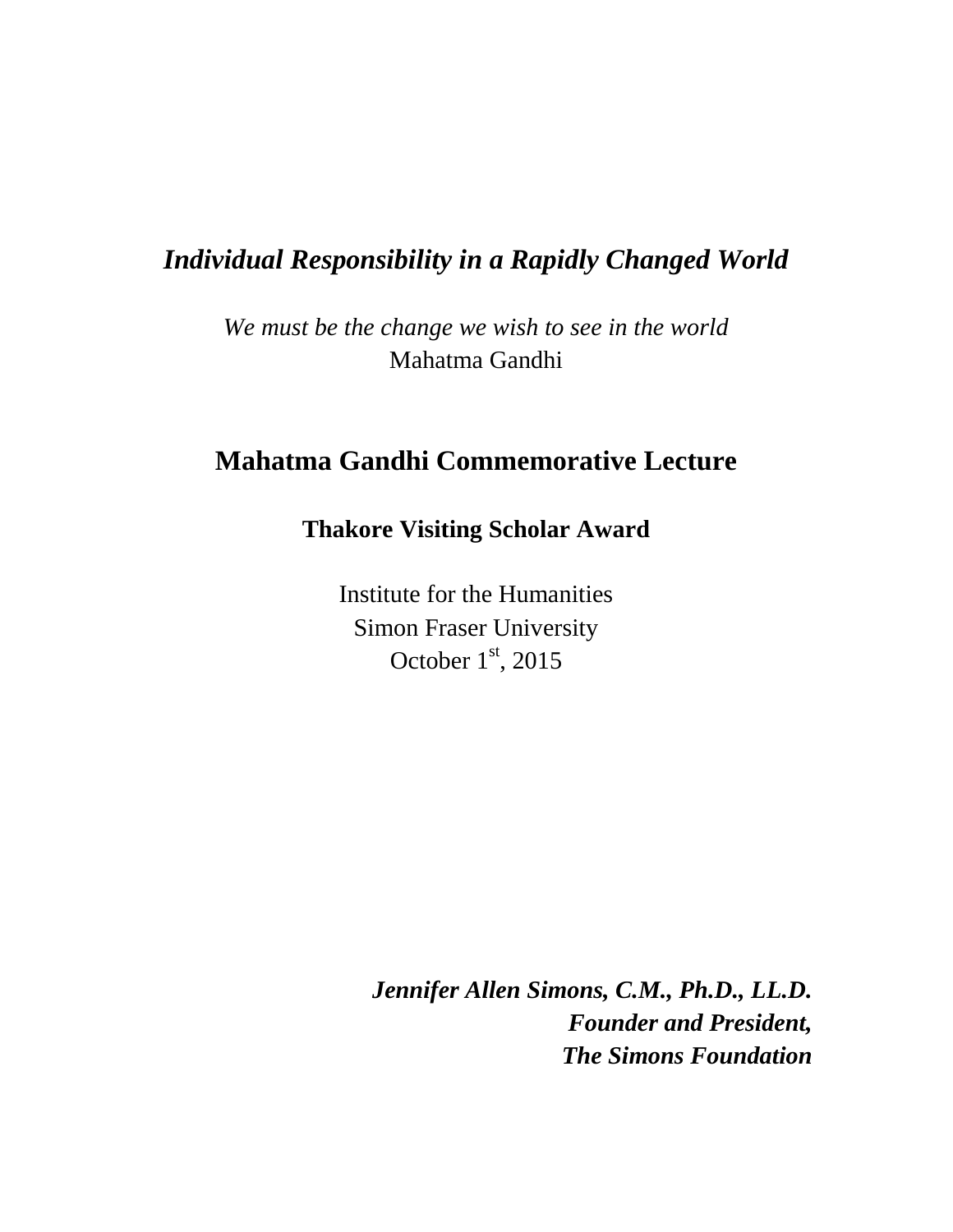## *Individual Responsibility in a Rapidly Changed World*

*We must be the change we wish to see in the world* Mahatma Gandhi

## **Mahatma Gandhi Commemorative Lecture**

## **Thakore Visiting Scholar Award**

Institute for the Humanities Simon Fraser University October  $1<sup>st</sup>$ , 2015

> *Jennifer Allen Simons, C.M., Ph.D., LL.D. Founder and President, The Simons Foundation*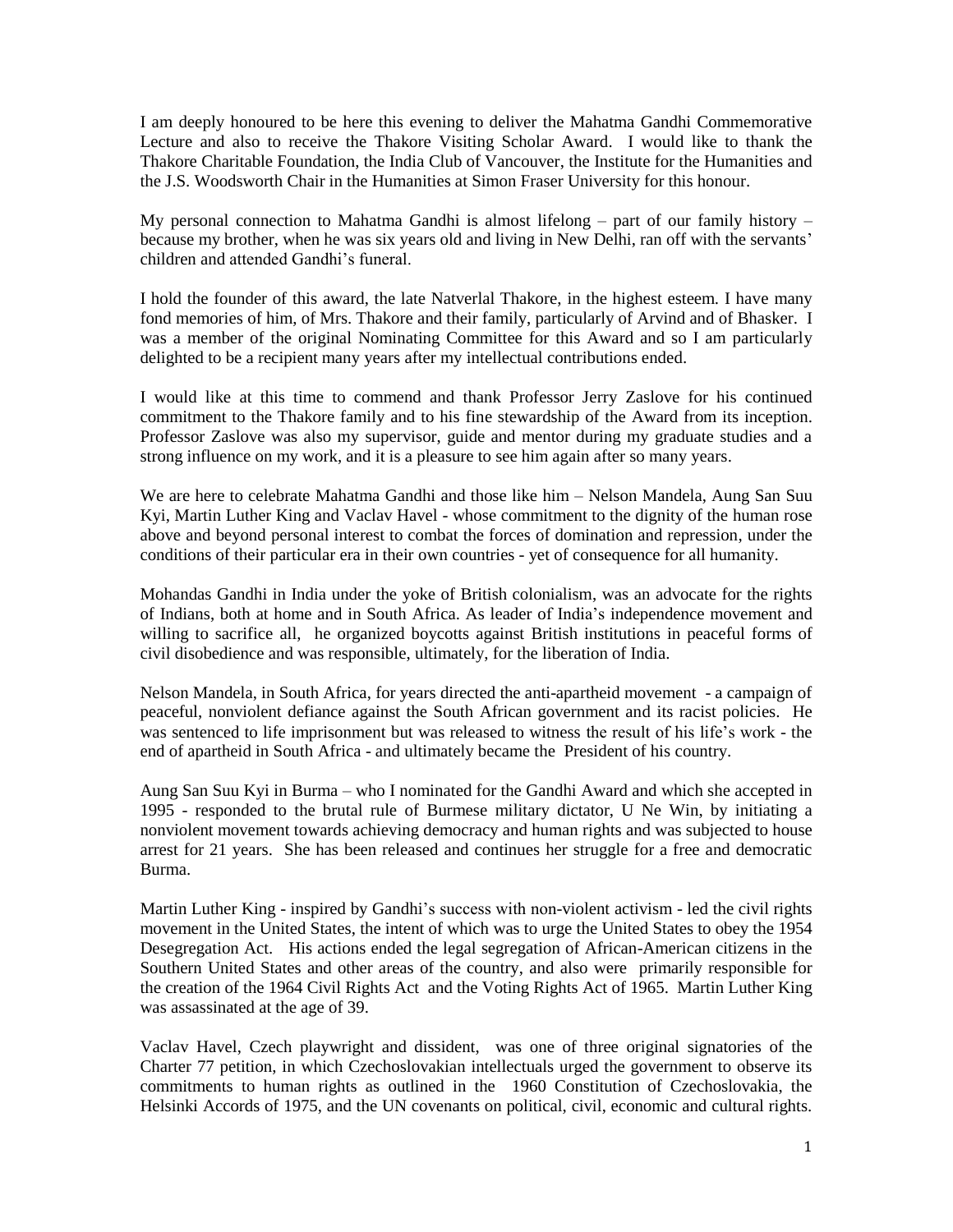I am deeply honoured to be here this evening to deliver the Mahatma Gandhi Commemorative Lecture and also to receive the Thakore Visiting Scholar Award. I would like to thank the Thakore Charitable Foundation, the India Club of Vancouver, the Institute for the Humanities and the J.S. Woodsworth Chair in the Humanities at Simon Fraser University for this honour.

My personal connection to Mahatma Gandhi is almost lifelong – part of our family history – because my brother, when he was six years old and living in New Delhi, ran off with the servants' children and attended Gandhi's funeral.

I hold the founder of this award, the late Natverlal Thakore, in the highest esteem. I have many fond memories of him, of Mrs. Thakore and their family, particularly of Arvind and of Bhasker. I was a member of the original Nominating Committee for this Award and so I am particularly delighted to be a recipient many years after my intellectual contributions ended.

I would like at this time to commend and thank Professor Jerry Zaslove for his continued commitment to the Thakore family and to his fine stewardship of the Award from its inception. Professor Zaslove was also my supervisor, guide and mentor during my graduate studies and a strong influence on my work, and it is a pleasure to see him again after so many years.

We are here to celebrate Mahatma Gandhi and those like him – Nelson Mandela, Aung San Suu Kyi, Martin Luther King and Vaclav Havel - whose commitment to the dignity of the human rose above and beyond personal interest to combat the forces of domination and repression, under the conditions of their particular era in their own countries - yet of consequence for all humanity.

Mohandas Gandhi in India under the yoke of British colonialism, was an advocate for the rights of Indians, both at home and in South Africa. As leader of India's independence movement and willing to sacrifice all, he organized boycotts against British institutions in peaceful forms of civil disobedience and was responsible, ultimately, for the liberation of India.

Nelson Mandela, in South Africa, for years directed the anti-apartheid movement - a campaign of peaceful, nonviolent defiance against the South African government and its racist policies. He was sentenced to life imprisonment but was released to witness the result of his life's work - the end of apartheid in South Africa - and ultimately became the President of his country.

Aung San Suu Kyi in Burma – who I nominated for the Gandhi Award and which she accepted in 1995 - responded to the brutal rule of Burmese military dictator, U Ne Win, by initiating a nonviolent movement towards achieving democracy and human rights and was subjected to house arrest for 21 years. She has been released and continues her struggle for a free and democratic Burma.

Martin Luther King - inspired by Gandhi's success with non-violent activism - led the civil rights movement in the United States, the intent of which was to urge the United States to obey the 1954 Desegregation Act. His actions ended the legal segregation of African-American citizens in the Southern United States and other areas of the country, and also were primarily responsible for the creation of the 1964 Civil Rights Act and the Voting Rights Act of 1965. Martin Luther King was assassinated at the age of 39.

Vaclav Havel, Czech playwright and dissident, was one of three original signatories of the Charter 77 petition, in which Czechoslovakian intellectuals urged the government to observe its commitments to human rights as outlined in the 1960 Constitution of Czechoslovakia, the Helsinki Accords of 1975, and the UN covenants on political, civil, economic and cultural rights.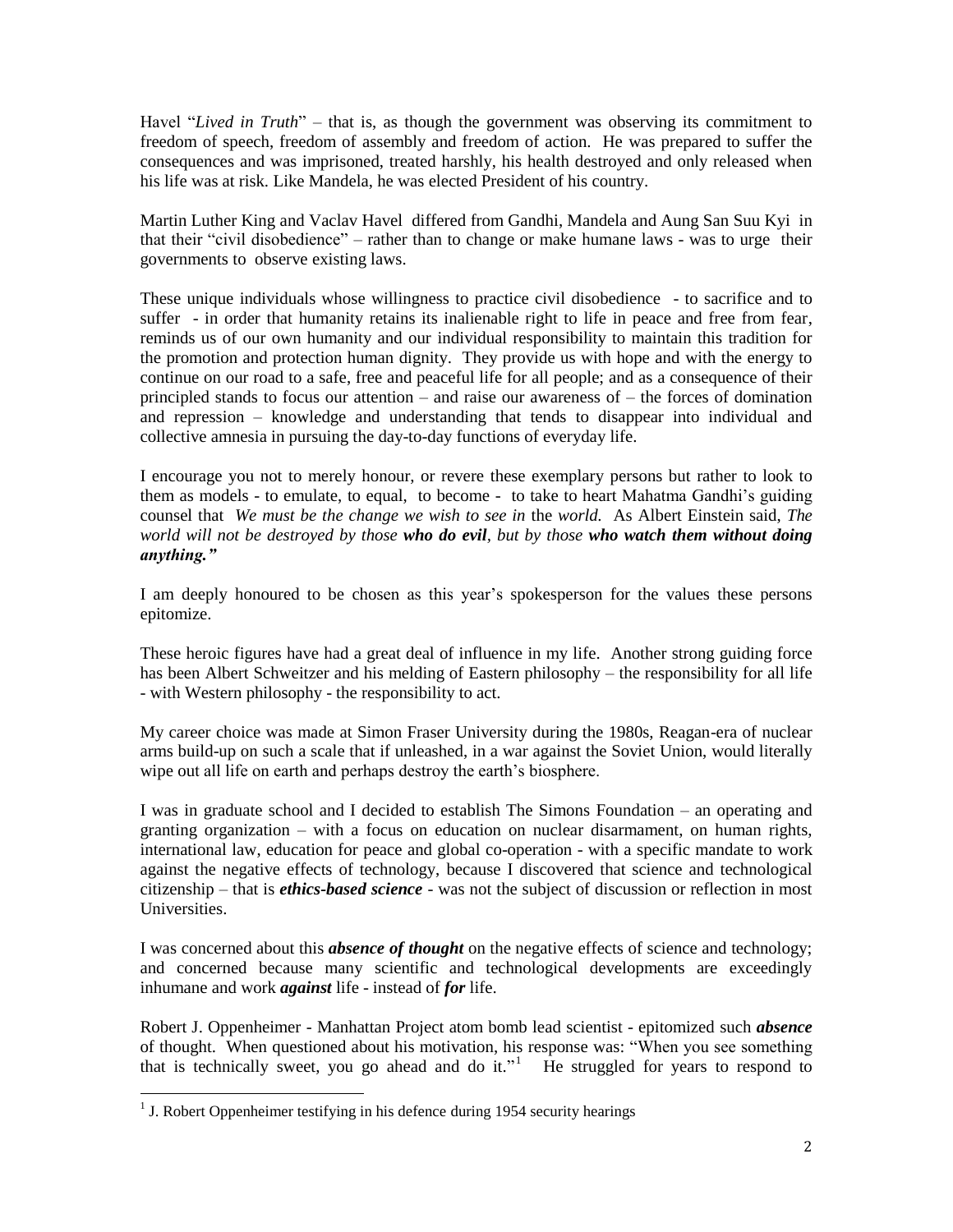Havel "*Lived in Truth*" – that is, as though the government was observing its commitment to freedom of speech, freedom of assembly and freedom of action. He was prepared to suffer the consequences and was imprisoned, treated harshly, his health destroyed and only released when his life was at risk. Like Mandela, he was elected President of his country.

Martin Luther King and Vaclav Havel differed from Gandhi, Mandela and Aung San Suu Kyi in that their "civil disobedience" – rather than to change or make humane laws - was to urge their governments to observe existing laws.

These unique individuals whose willingness to practice civil disobedience - to sacrifice and to suffer - in order that humanity retains its inalienable right to life in peace and free from fear, reminds us of our own humanity and our individual responsibility to maintain this tradition for the promotion and protection human dignity. They provide us with hope and with the energy to continue on our road to a safe, free and peaceful life for all people; and as a consequence of their principled stands to focus our attention – and raise our awareness of – the forces of domination and repression – knowledge and understanding that tends to disappear into individual and collective amnesia in pursuing the day-to-day functions of everyday life.

I encourage you not to merely honour, or revere these exemplary persons but rather to look to them as models - to emulate, to equal, to become - to take to heart Mahatma Gandhi's guiding counsel that *We must be the change we wish to see in* the *world.* As Albert Einstein said, *The world will not be destroyed by those who do evil, but by those who watch them without doing anything."*

I am deeply honoured to be chosen as this year's spokesperson for the values these persons epitomize.

These heroic figures have had a great deal of influence in my life. Another strong guiding force has been Albert Schweitzer and his melding of Eastern philosophy – the responsibility for all life - with Western philosophy - the responsibility to act.

My career choice was made at Simon Fraser University during the 1980s, Reagan-era of nuclear arms build-up on such a scale that if unleashed, in a war against the Soviet Union, would literally wipe out all life on earth and perhaps destroy the earth's biosphere.

I was in graduate school and I decided to establish The Simons Foundation – an operating and granting organization – with a focus on education on nuclear disarmament, on human rights, international law, education for peace and global co-operation - with a specific mandate to work against the negative effects of technology, because I discovered that science and technological citizenship – that is *ethics-based science* - was not the subject of discussion or reflection in most Universities.

I was concerned about this *absence of thought* on the negative effects of science and technology; and concerned because many scientific and technological developments are exceedingly inhumane and work *against* life - instead of *for* life.

Robert J. Oppenheimer - Manhattan Project atom bomb lead scientist - epitomized such *absence* of thought. When questioned about his motivation, his response was: "When you see something that is technically sweet, you go ahead and do it."<sup>1</sup> He struggled for years to respond to

<sup>&</sup>lt;sup>1</sup> J. Robert Oppenheimer testifying in his defence during 1954 security hearings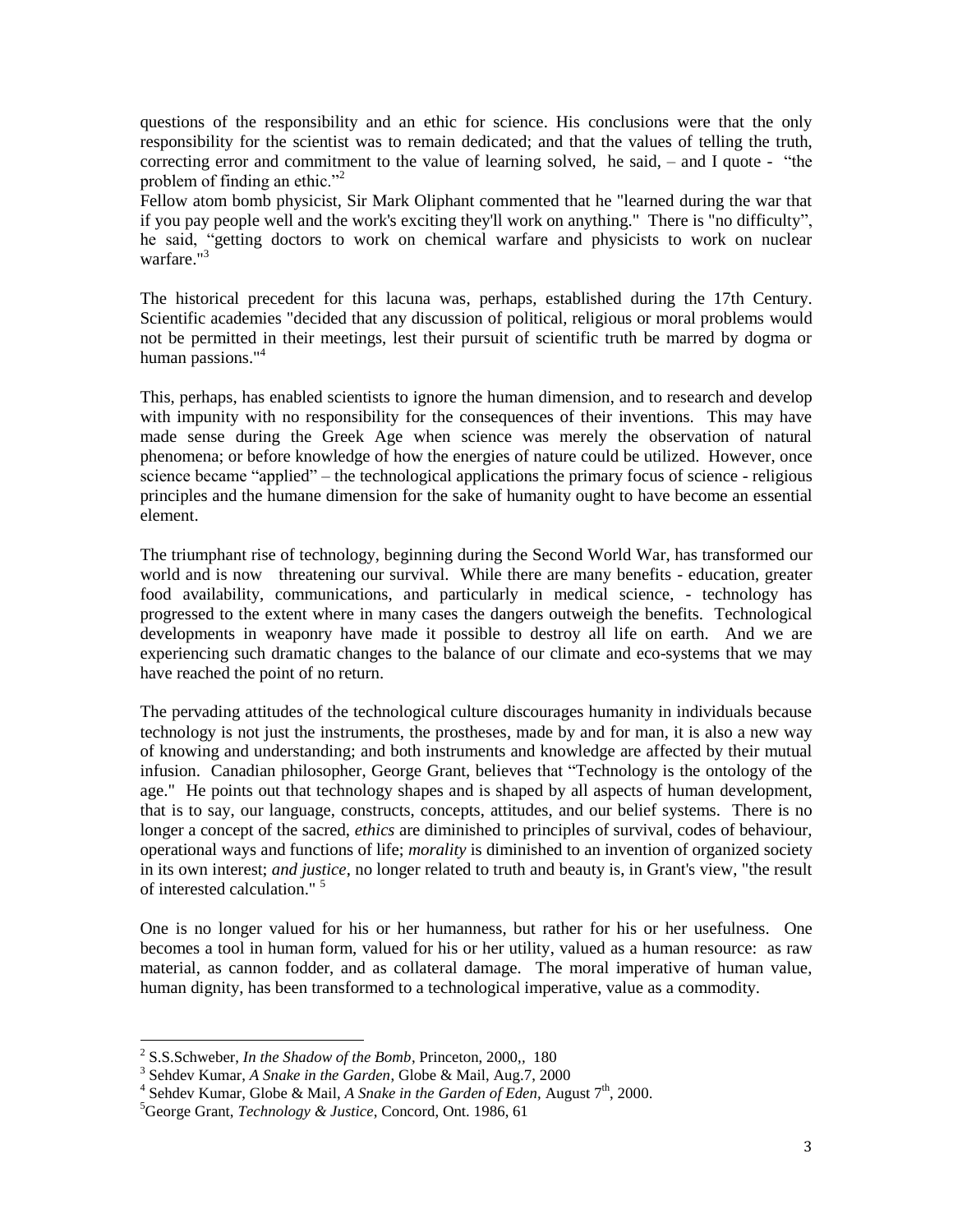questions of the responsibility and an ethic for science. His conclusions were that the only responsibility for the scientist was to remain dedicated; and that the values of telling the truth, correcting error and commitment to the value of learning solved, he said, – and I quote - "the problem of finding an ethic."<sup>2</sup>

Fellow atom bomb physicist, Sir Mark Oliphant commented that he "learned during the war that if you pay people well and the work's exciting they'll work on anything." There is "no difficulty", he said, "getting doctors to work on chemical warfare and physicists to work on nuclear warfare."<sup>3</sup>

The historical precedent for this lacuna was, perhaps, established during the 17th Century. Scientific academies "decided that any discussion of political, religious or moral problems would not be permitted in their meetings, lest their pursuit of scientific truth be marred by dogma or human passions."<sup>4</sup>

This, perhaps, has enabled scientists to ignore the human dimension, and to research and develop with impunity with no responsibility for the consequences of their inventions. This may have made sense during the Greek Age when science was merely the observation of natural phenomena; or before knowledge of how the energies of nature could be utilized. However, once science became "applied" – the technological applications the primary focus of science - religious principles and the humane dimension for the sake of humanity ought to have become an essential element.

The triumphant rise of technology, beginning during the Second World War, has transformed our world and is now threatening our survival. While there are many benefits - education, greater food availability, communications, and particularly in medical science, - technology has progressed to the extent where in many cases the dangers outweigh the benefits. Technological developments in weaponry have made it possible to destroy all life on earth. And we are experiencing such dramatic changes to the balance of our climate and eco-systems that we may have reached the point of no return.

The pervading attitudes of the technological culture discourages humanity in individuals because technology is not just the instruments, the prostheses, made by and for man, it is also a new way of knowing and understanding; and both instruments and knowledge are affected by their mutual infusion. Canadian philosopher, George Grant, believes that "Technology is the ontology of the age." He points out that technology shapes and is shaped by all aspects of human development, that is to say, our language, constructs, concepts, attitudes, and our belief systems. There is no longer a concept of the sacred, *ethics* are diminished to principles of survival, codes of behaviour, operational ways and functions of life; *morality* is diminished to an invention of organized society in its own interest; *and justice*, no longer related to truth and beauty is, in Grant's view, "the result of interested calculation." <sup>5</sup>

One is no longer valued for his or her humanness, but rather for his or her usefulness. One becomes a tool in human form, valued for his or her utility, valued as a human resource: as raw material, as cannon fodder, and as collateral damage. The moral imperative of human value, human dignity, has been transformed to a technological imperative, value as a commodity.

<sup>2</sup> S.S.Schweber, *In the Shadow of the Bomb*, Princeton, 2000,*,* 180

<sup>3</sup> Sehdev Kumar, *A Snake in the Garden*, Globe & Mail, Aug.7, 2000

<sup>&</sup>lt;sup>4</sup> Sehdev Kumar, Globe & Mail, *A Snake in the Garden of Eden*, August 7<sup>th</sup>, 2000.

<sup>5</sup>George Grant, *Technology & Justice*, Concord, Ont. 1986, 61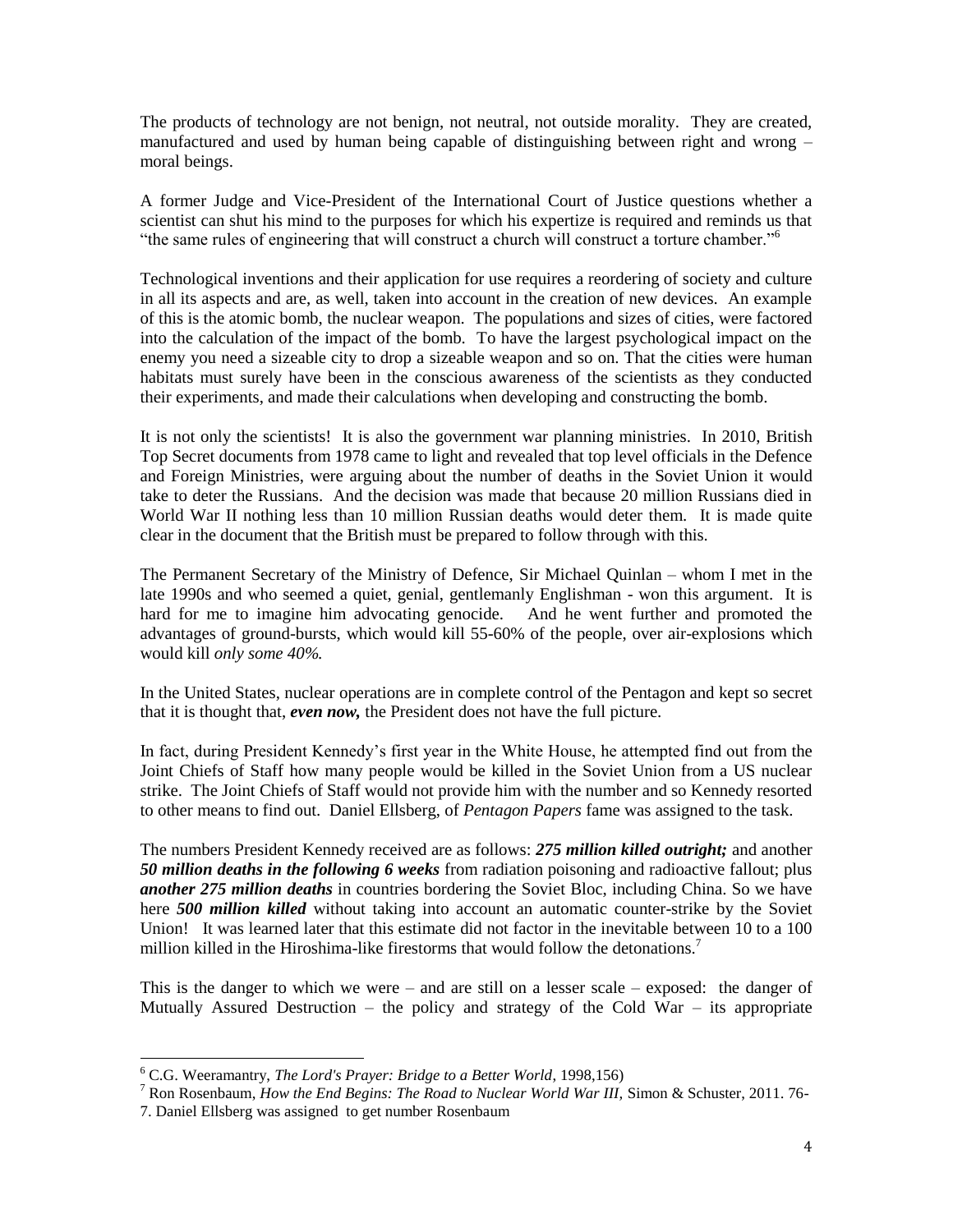The products of technology are not benign, not neutral, not outside morality. They are created, manufactured and used by human being capable of distinguishing between right and wrong – moral beings.

A former Judge and Vice-President of the International Court of Justice questions whether a scientist can shut his mind to the purposes for which his expertize is required and reminds us that "the same rules of engineering that will construct a church will construct a torture chamber."<sup>6</sup>

Technological inventions and their application for use requires a reordering of society and culture in all its aspects and are, as well, taken into account in the creation of new devices. An example of this is the atomic bomb, the nuclear weapon. The populations and sizes of cities, were factored into the calculation of the impact of the bomb. To have the largest psychological impact on the enemy you need a sizeable city to drop a sizeable weapon and so on. That the cities were human habitats must surely have been in the conscious awareness of the scientists as they conducted their experiments, and made their calculations when developing and constructing the bomb.

It is not only the scientists! It is also the government war planning ministries. In 2010, British Top Secret documents from 1978 came to light and revealed that top level officials in the Defence and Foreign Ministries, were arguing about the number of deaths in the Soviet Union it would take to deter the Russians. And the decision was made that because 20 million Russians died in World War II nothing less than 10 million Russian deaths would deter them. It is made quite clear in the document that the British must be prepared to follow through with this.

The Permanent Secretary of the Ministry of Defence, Sir Michael Quinlan – whom I met in the late 1990s and who seemed a quiet, genial, gentlemanly Englishman - won this argument. It is hard for me to imagine him advocating genocide. And he went further and promoted the advantages of ground-bursts, which would kill 55-60% of the people, over air-explosions which would kill *only some 40%.*

In the United States, nuclear operations are in complete control of the Pentagon and kept so secret that it is thought that, *even now,* the President does not have the full picture.

In fact, during President Kennedy's first year in the White House, he attempted find out from the Joint Chiefs of Staff how many people would be killed in the Soviet Union from a US nuclear strike. The Joint Chiefs of Staff would not provide him with the number and so Kennedy resorted to other means to find out. Daniel Ellsberg, of *Pentagon Papers* fame was assigned to the task.

The numbers President Kennedy received are as follows: *275 million killed outright;* and another *50 million deaths in the following 6 weeks* from radiation poisoning and radioactive fallout; plus *another 275 million deaths* in countries bordering the Soviet Bloc, including China. So we have here *500 million killed* without taking into account an automatic counter-strike by the Soviet Union! It was learned later that this estimate did not factor in the inevitable between 10 to a 100 million killed in the Hiroshima-like firestorms that would follow the detonations.<sup>7</sup>

This is the danger to which we were – and are still on a lesser scale – exposed: the danger of Mutually Assured Destruction – the policy and strategy of the Cold War – its appropriate

<sup>6</sup> C.G. Weeramantry, *The Lord's Prayer: Bridge to a Better World*, 1998,156)

<sup>7</sup> Ron Rosenbaum, *How the End Begins: The Road to Nuclear World War III,* Simon & Schuster, 2011. 76- 7. Daniel Ellsberg was assigned to get number Rosenbaum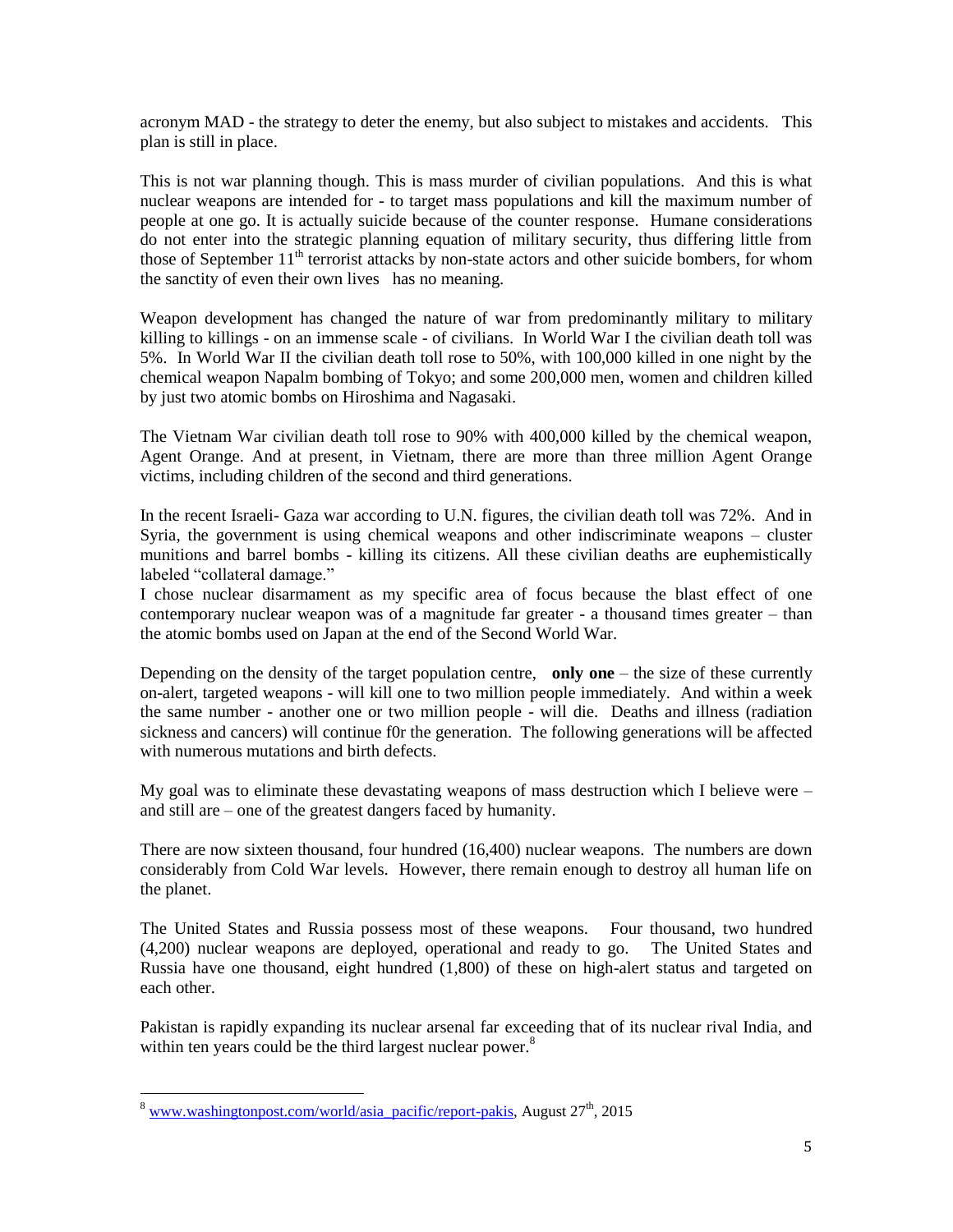acronym MAD - the strategy to deter the enemy, but also subject to mistakes and accidents. This plan is still in place.

This is not war planning though. This is mass murder of civilian populations. And this is what nuclear weapons are intended for - to target mass populations and kill the maximum number of people at one go. It is actually suicide because of the counter response. Humane considerations do not enter into the strategic planning equation of military security, thus differing little from those of September  $11<sup>th</sup>$  terrorist attacks by non-state actors and other suicide bombers, for whom the sanctity of even their own lives has no meaning.

Weapon development has changed the nature of war from predominantly military to military killing to killings - on an immense scale - of civilians. In World War I the civilian death toll was 5%. In World War II the civilian death toll rose to 50%, with 100,000 killed in one night by the chemical weapon Napalm bombing of Tokyo; and some 200,000 men, women and children killed by just two atomic bombs on Hiroshima and Nagasaki.

The Vietnam War civilian death toll rose to 90% with 400,000 killed by the chemical weapon, Agent Orange. And at present, in Vietnam, there are more than three million Agent Orange victims, including children of the second and third generations.

In the recent Israeli- Gaza war according to U.N. figures, the civilian death toll was 72%. And in Syria, the government is using chemical weapons and other indiscriminate weapons – cluster munitions and barrel bombs - killing its citizens. All these civilian deaths are euphemistically labeled "collateral damage."

I chose nuclear disarmament as my specific area of focus because the blast effect of one contemporary nuclear weapon was of a magnitude far greater - a thousand times greater – than the atomic bombs used on Japan at the end of the Second World War.

Depending on the density of the target population centre, **only one** – the size of these currently on-alert, targeted weapons - will kill one to two million people immediately. And within a week the same number - another one or two million people - will die. Deaths and illness (radiation sickness and cancers) will continue f0r the generation. The following generations will be affected with numerous mutations and birth defects.

My goal was to eliminate these devastating weapons of mass destruction which I believe were – and still are – one of the greatest dangers faced by humanity.

There are now sixteen thousand, four hundred (16,400) nuclear weapons. The numbers are down considerably from Cold War levels. However, there remain enough to destroy all human life on the planet.

The United States and Russia possess most of these weapons. Four thousand, two hundred (4,200) nuclear weapons are deployed, operational and ready to go. The United States and Russia have one thousand, eight hundred (1,800) of these on high-alert status and targeted on each other.

Pakistan is rapidly expanding its nuclear arsenal far exceeding that of its nuclear rival India, and within ten years could be the third largest nuclear power.<sup>8</sup>

<sup>&</sup>lt;sup>8</sup> [www.washingtonpost.com/world/asia\\_pacific/report-pakis,](http://www.washingtonpost.com/world/asia_pacific/report-pakis) August  $27<sup>th</sup>$ , 2015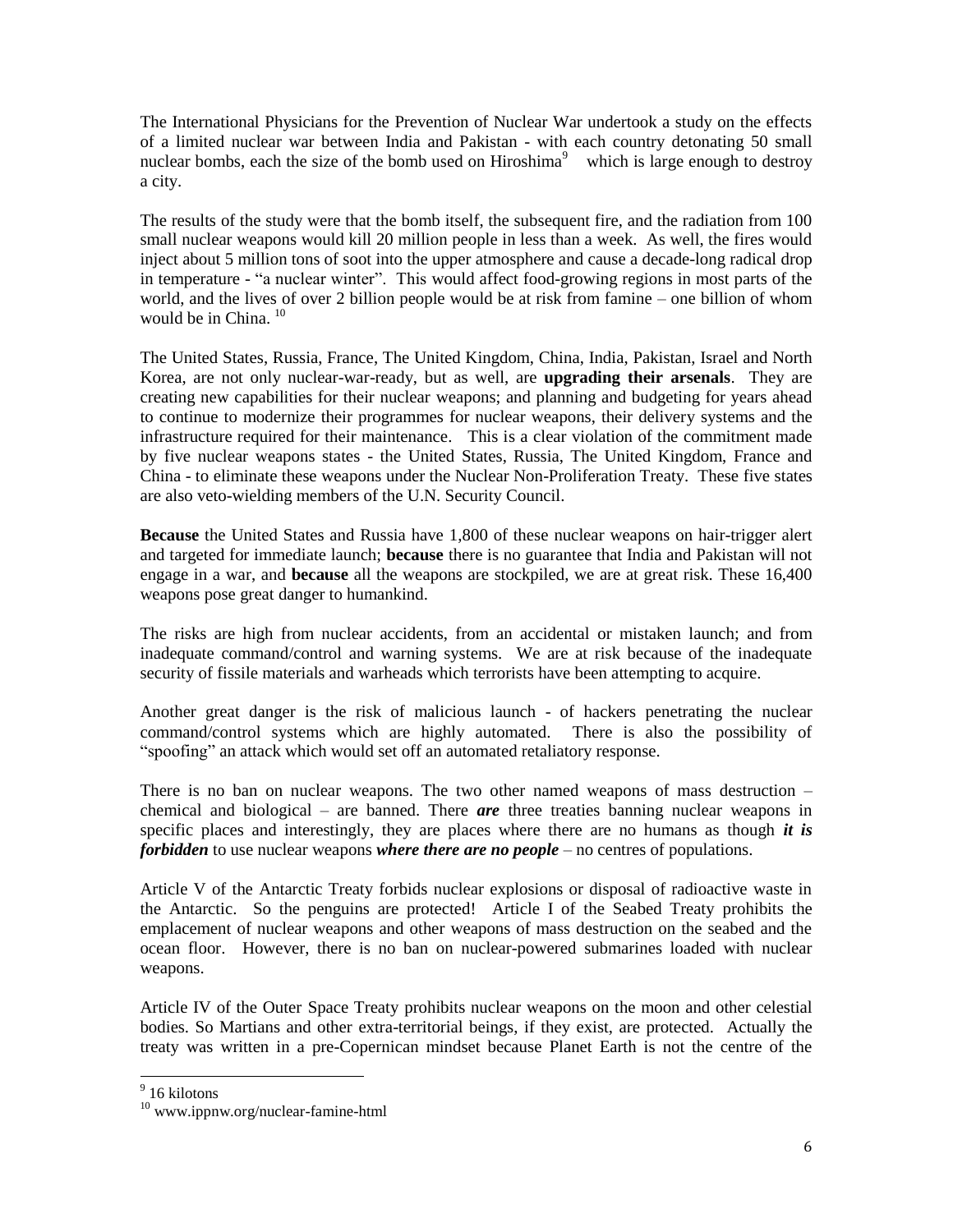The International Physicians for the Prevention of Nuclear War undertook a study on the effects of a limited nuclear war between India and Pakistan - with each country detonating 50 small nuclear bombs, each the size of the bomb used on Hiroshima<sup>9</sup> which is large enough to destroy a city.

The results of the study were that the bomb itself, the subsequent fire, and the radiation from 100 small nuclear weapons would kill 20 million people in less than a week. As well, the fires would inject about 5 million tons of soot into the upper atmosphere and cause a decade-long radical drop in temperature - "a nuclear winter". This would affect food-growing regions in most parts of the world, and the lives of over 2 billion people would be at risk from famine – one billion of whom would be in China.  $10$ 

The United States, Russia, France, The United Kingdom, China, India, Pakistan, Israel and North Korea, are not only nuclear-war-ready, but as well, are **upgrading their arsenals**. They are creating new capabilities for their nuclear weapons; and planning and budgeting for years ahead to continue to modernize their programmes for nuclear weapons, their delivery systems and the infrastructure required for their maintenance. This is a clear violation of the commitment made by five nuclear weapons states - the United States, Russia, The United Kingdom, France and China - to eliminate these weapons under the Nuclear Non-Proliferation Treaty. These five states are also veto-wielding members of the U.N. Security Council.

**Because** the United States and Russia have 1,800 of these nuclear weapons on hair-trigger alert and targeted for immediate launch; **because** there is no guarantee that India and Pakistan will not engage in a war, and **because** all the weapons are stockpiled, we are at great risk. These 16,400 weapons pose great danger to humankind.

The risks are high from nuclear accidents, from an accidental or mistaken launch; and from inadequate command/control and warning systems. We are at risk because of the inadequate security of fissile materials and warheads which terrorists have been attempting to acquire.

Another great danger is the risk of malicious launch - of hackers penetrating the nuclear command/control systems which are highly automated. There is also the possibility of "spoofing" an attack which would set off an automated retaliatory response.

There is no ban on nuclear weapons. The two other named weapons of mass destruction – chemical and biological – are banned. There *are* three treaties banning nuclear weapons in specific places and interestingly, they are places where there are no humans as though *it is forbidden* to use nuclear weapons *where there are no people* – no centres of populations.

Article V of the Antarctic Treaty forbids nuclear explosions or disposal of radioactive waste in the Antarctic. So the penguins are protected! Article I of the Seabed Treaty prohibits the emplacement of nuclear weapons and other weapons of mass destruction on the seabed and the ocean floor.However, there is no ban on nuclear-powered submarines loaded with nuclear weapons.

Article IV of the Outer Space Treaty prohibits nuclear weapons on the moon and other celestial bodies. So Martians and other extra-territorial beings, if they exist, are protected. Actually the treaty was written in a pre-Copernican mindset because Planet Earth is not the centre of the

 9 16 kilotons

<sup>10</sup> www.ippnw.org/nuclear-famine-html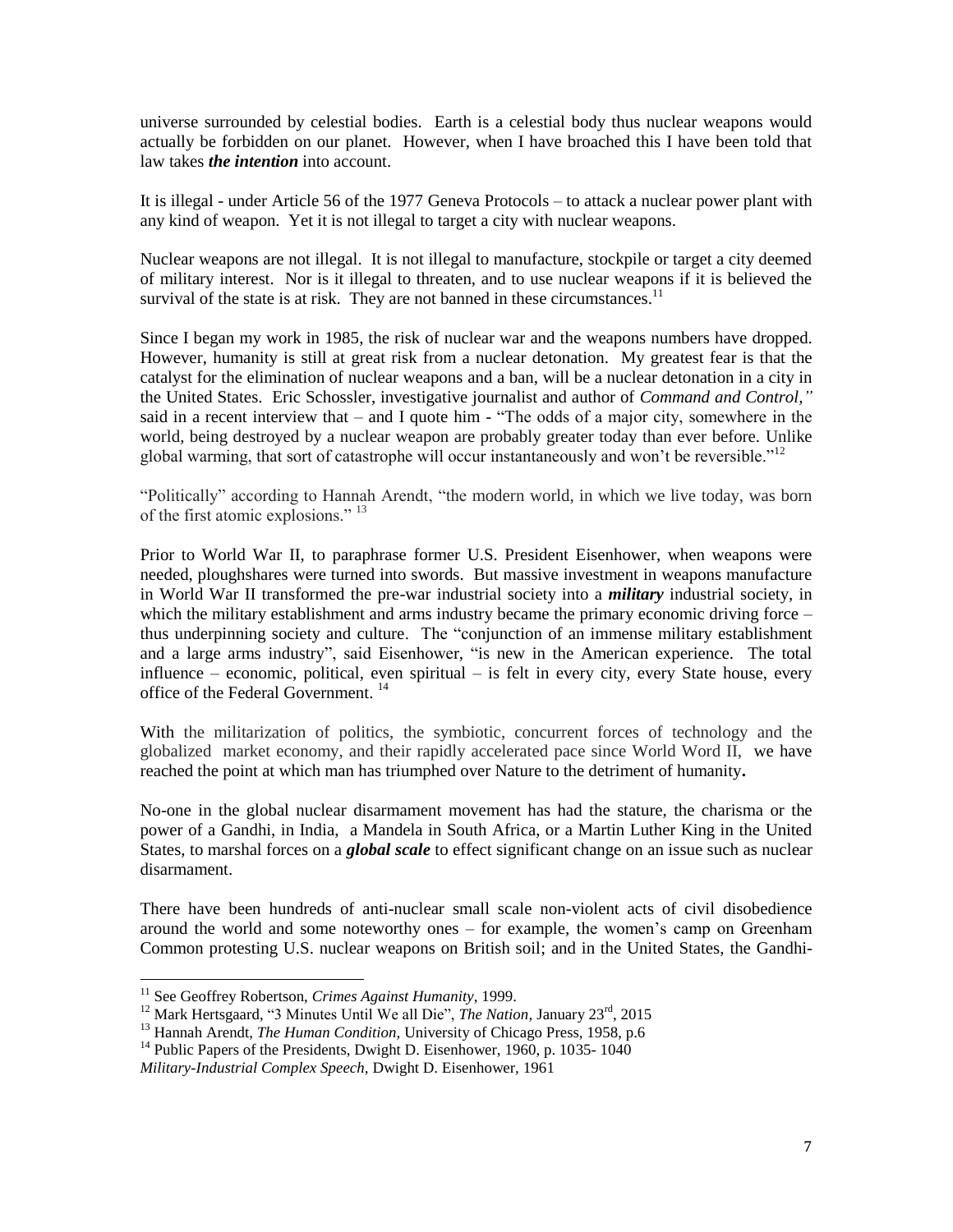universe surrounded by celestial bodies. Earth is a celestial body thus nuclear weapons would actually be forbidden on our planet. However, when I have broached this I have been told that law takes *the intention* into account.

It is illegal - under Article 56 of the 1977 Geneva Protocols – to attack a nuclear power plant with any kind of weapon. Yet it is not illegal to target a city with nuclear weapons.

Nuclear weapons are not illegal. It is not illegal to manufacture, stockpile or target a city deemed of military interest. Nor is it illegal to threaten, and to use nuclear weapons if it is believed the survival of the state is at risk. They are not banned in these circumstances.<sup>11</sup>

Since I began my work in 1985, the risk of nuclear war and the weapons numbers have dropped. However, humanity is still at great risk from a nuclear detonation. My greatest fear is that the catalyst for the elimination of nuclear weapons and a ban, will be a nuclear detonation in a city in the United States. Eric Schossler, investigative journalist and author of *Command and Control,"* said in a recent interview that – and I quote him - "The odds of a major city, somewhere in the world, being destroyed by a nuclear weapon are probably greater today than ever before. Unlike global warming, that sort of catastrophe will occur instantaneously and won't be reversible."<sup>12</sup>

"Politically" according to Hannah Arendt, "the modern world, in which we live today, was born of the first atomic explosions." <sup>13</sup>

Prior to World War II, to paraphrase former U.S. President Eisenhower, when weapons were needed, ploughshares were turned into swords. But massive investment in weapons manufacture in World War II transformed the pre-war industrial society into a *military* industrial society, in which the military establishment and arms industry became the primary economic driving force – thus underpinning society and culture. The "conjunction of an immense military establishment and a large arms industry", said Eisenhower, "is new in the American experience. The total influence – economic, political, even spiritual – is felt in every city, every State house, every office of the Federal Government.<sup>14</sup>

With the militarization of politics, the symbiotic, concurrent forces of technology and the globalized market economy, and their rapidly accelerated pace since World Word II, we have reached the point at which man has triumphed over Nature to the detriment of humanity**.** 

No-one in the global nuclear disarmament movement has had the stature, the charisma or the power of a Gandhi, in India, a Mandela in South Africa, or a Martin Luther King in the United States, to marshal forces on a *global scale* to effect significant change on an issue such as nuclear disarmament.

There have been hundreds of anti-nuclear small scale non-violent acts of civil disobedience around the world and some noteworthy ones – for example, the women's camp on Greenham Common protesting U.S. nuclear weapons on British soil; and in the United States, the Gandhi-

<sup>&</sup>lt;sup>11</sup> See Geoffrey Robertson, *Crimes Against Humanity*, 1999.

<sup>&</sup>lt;sup>12</sup> Mark Hertsgaard, "3 Minutes Until We all Die", *The Nation*, January 23<sup>rd</sup>, 2015

<sup>&</sup>lt;sup>13</sup> Hannah Arendt, *The Human Condition*, University of Chicago Press, 1958, p.6

 $14$  Public Papers of the Presidents, Dwight D. Eisenhower, 1960, p. 1035-1040

*Military-Industrial Complex Speech,* Dwight D. Eisenhower, 1961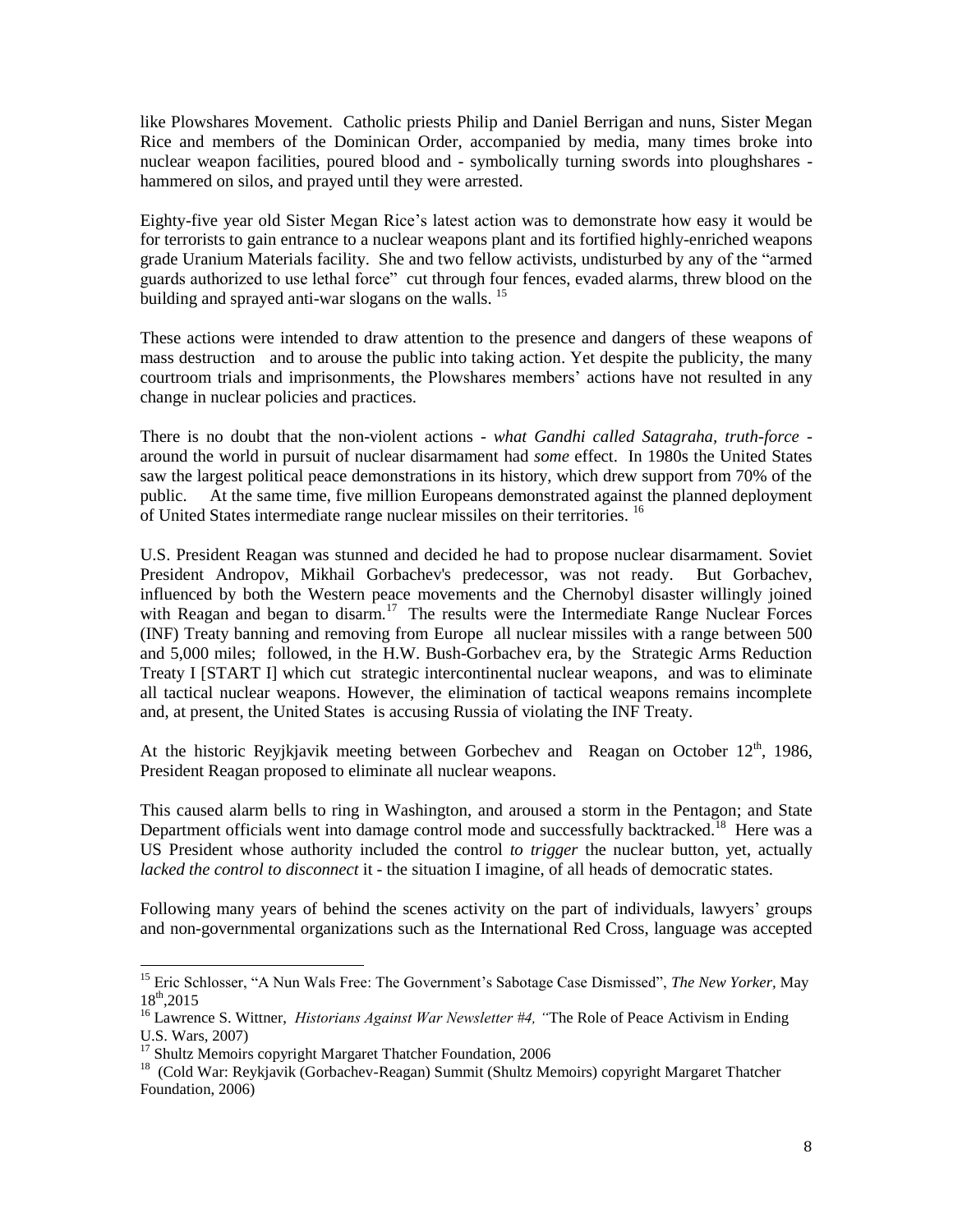like Plowshares Movement. Catholic priests Philip and Daniel Berrigan and nuns, Sister Megan Rice and members of the Dominican Order, accompanied by media, many times broke into nuclear weapon facilities, poured blood and - symbolically turning swords into ploughshares hammered on silos, and prayed until they were arrested.

Eighty-five year old Sister Megan Rice's latest action was to demonstrate how easy it would be for terrorists to gain entrance to a nuclear weapons plant and its fortified highly-enriched weapons grade Uranium Materials facility. She and two fellow activists, undisturbed by any of the "armed guards authorized to use lethal force" cut through four fences, evaded alarms, threw blood on the building and sprayed anti-war slogans on the walls.  $^{15}$ 

These actions were intended to draw attention to the presence and dangers of these weapons of mass destruction and to arouse the public into taking action. Yet despite the publicity, the many courtroom trials and imprisonments, the Plowshares members' actions have not resulted in any change in nuclear policies and practices.

There is no doubt that the non-violent actions - *what Gandhi called Satagraha, truth-force*  around the world in pursuit of nuclear disarmament had *some* effect. In 1980s the United States saw the largest political peace demonstrations in its history, which drew support from 70% of the public. At the same time, five million Europeans demonstrated against the planned deployment of United States intermediate range nuclear missiles on their territories.<sup>16</sup>

U.S. President Reagan was stunned and decided he had to propose nuclear disarmament. Soviet President Andropov, Mikhail Gorbachev's predecessor, was not ready. But Gorbachev, influenced by both the Western peace movements and the Chernobyl disaster willingly joined with Reagan and began to disarm.<sup>17</sup> The results were the Intermediate Range Nuclear Forces (INF) Treaty banning and removing from Europe all nuclear missiles with a range between 500 and 5,000 miles; followed, in the H.W. Bush-Gorbachev era, by the Strategic Arms Reduction Treaty I [START I] which cut strategic intercontinental nuclear weapons, and was to eliminate all tactical nuclear weapons. However, the elimination of tactical weapons remains incomplete and, at present, the United States is accusing Russia of violating the INF Treaty.

At the historic Reyjkjavik meeting between Gorbechev and Reagan on October 12<sup>th</sup>, 1986, President Reagan proposed to eliminate all nuclear weapons.

This caused alarm bells to ring in Washington, and aroused a storm in the Pentagon; and State Department officials went into damage control mode and successfully backtracked.<sup>18</sup> Here was a US President whose authority included the control *to trigger* the nuclear button, yet, actually *lacked the control to disconnect* it - the situation I imagine, of all heads of democratic states.

Following many years of behind the scenes activity on the part of individuals, lawyers' groups and non-governmental organizations such as the International Red Cross, language was accepted

l

<sup>15</sup> Eric Schlosser, "A Nun Wals Free: The Government's Sabotage Case Dismissed", *The New Yorker,* May  $18^{th}$ ,2015

<sup>&</sup>lt;sup>16</sup> Lawrence S. Wittner, *Historians Against War Newsletter #4*, "The Role of Peace Activism in Ending U.S. Wars, 2007)

<sup>&</sup>lt;sup>17</sup> Shultz Memoirs copyright Margaret Thatcher Foundation, 2006

<sup>&</sup>lt;sup>18</sup> (Cold War: Reykjavik (Gorbachev-Reagan) Summit (Shultz Memoirs) copyright Margaret Thatcher Foundation, 2006)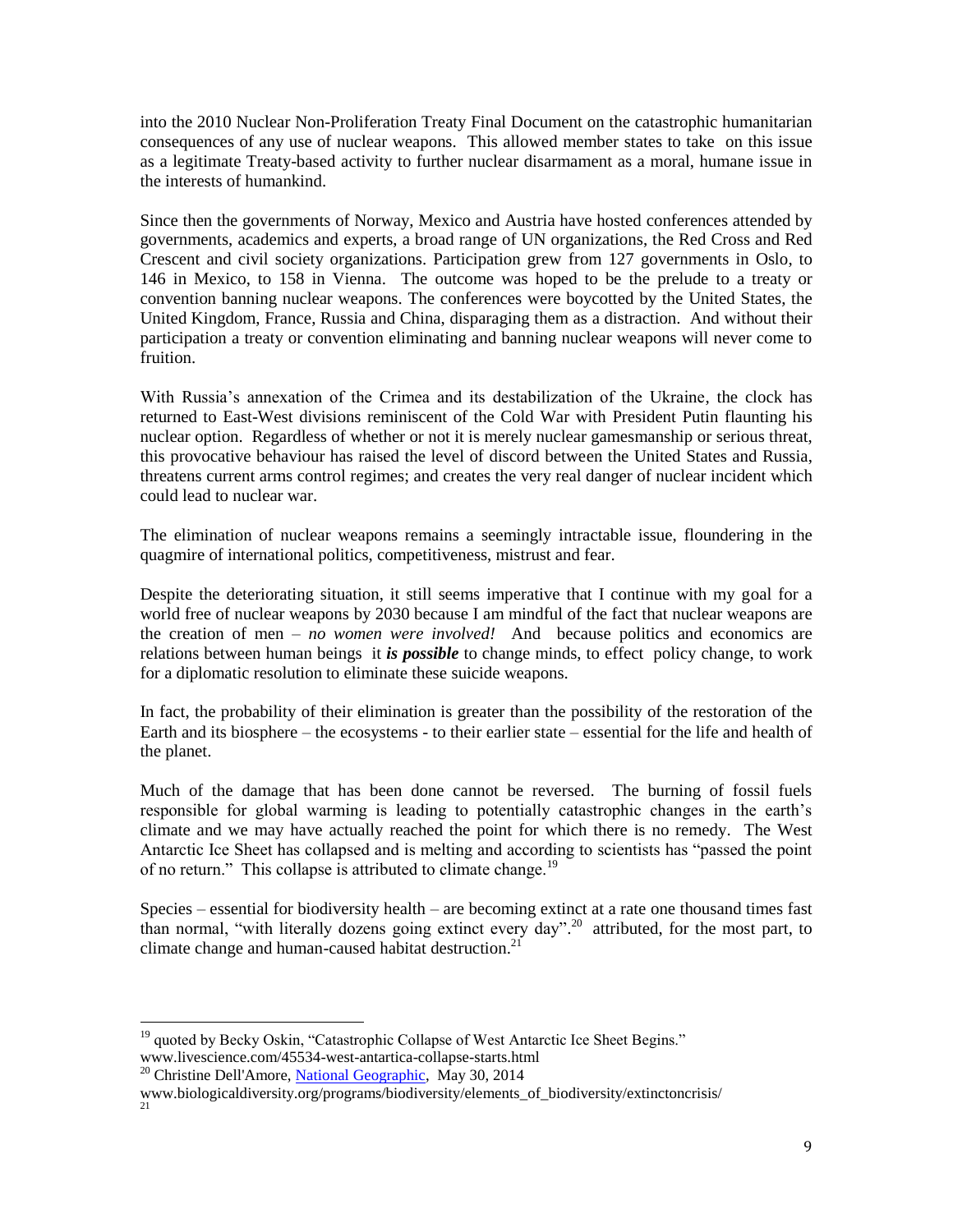into the 2010 Nuclear Non-Proliferation Treaty Final Document on the catastrophic humanitarian consequences of any use of nuclear weapons. This allowed member states to take on this issue as a legitimate Treaty-based activity to further nuclear disarmament as a moral, humane issue in the interests of humankind.

Since then the governments of Norway, Mexico and Austria have hosted conferences attended by governments, academics and experts, a broad range of UN organizations, the Red Cross and Red Crescent and civil society organizations. Participation grew from 127 governments in Oslo, to 146 in Mexico, to 158 in Vienna. The outcome was hoped to be the prelude to a treaty or convention banning nuclear weapons. The conferences were boycotted by the United States, the United Kingdom, France, Russia and China, disparaging them as a distraction. And without their participation a treaty or convention eliminating and banning nuclear weapons will never come to fruition.

With Russia's annexation of the Crimea and its destabilization of the Ukraine, the clock has returned to East-West divisions reminiscent of the Cold War with President Putin flaunting his nuclear option. Regardless of whether or not it is merely nuclear gamesmanship or serious threat, this provocative behaviour has raised the level of discord between the United States and Russia, threatens current arms control regimes; and creates the very real danger of nuclear incident which could lead to nuclear war.

The elimination of nuclear weapons remains a seemingly intractable issue, floundering in the quagmire of international politics, competitiveness, mistrust and fear.

Despite the deteriorating situation, it still seems imperative that I continue with my goal for a world free of nuclear weapons by 2030 because I am mindful of the fact that nuclear weapons are the creation of men – *no women were involved!* And because politics and economics are relations between human beings it *is possible* to change minds, to effect policy change, to work for a diplomatic resolution to eliminate these suicide weapons.

In fact, the probability of their elimination is greater than the possibility of the restoration of the Earth and its biosphere – the ecosystems - to their earlier state – essential for the life and health of the planet.

Much of the damage that has been done cannot be reversed. The burning of fossil fuels responsible for global warming is leading to potentially catastrophic changes in the earth's climate and we may have actually reached the point for which there is no remedy. The West Antarctic Ice Sheet has collapsed and is melting and according to scientists has "passed the point of no return." This collapse is attributed to climate change.<sup>19</sup>

Species – essential for biodiversity health – are becoming extinct at a rate one thousand times fast than normal, "with literally dozens going extinct every day". <sup>20</sup> attributed, for the most part, to climate change and human-caused habitat destruction.<sup>21</sup>

 $\overline{\phantom{a}}$ <sup>19</sup> quoted by Becky Oskin, "Catastrophic Collapse of West Antarctic Ice Sheet Begins." www.livescience.com/45534-west-antartica-collapse-starts.html

<sup>&</sup>lt;sup>20</sup> Christine Dell'Amore, [National Geographic,](http://news.nationalgeographic.com/) May 30, 2014

www.biologicaldiversity.org/programs/biodiversity/elements\_of\_biodiversity/extinctoncrisis/ 21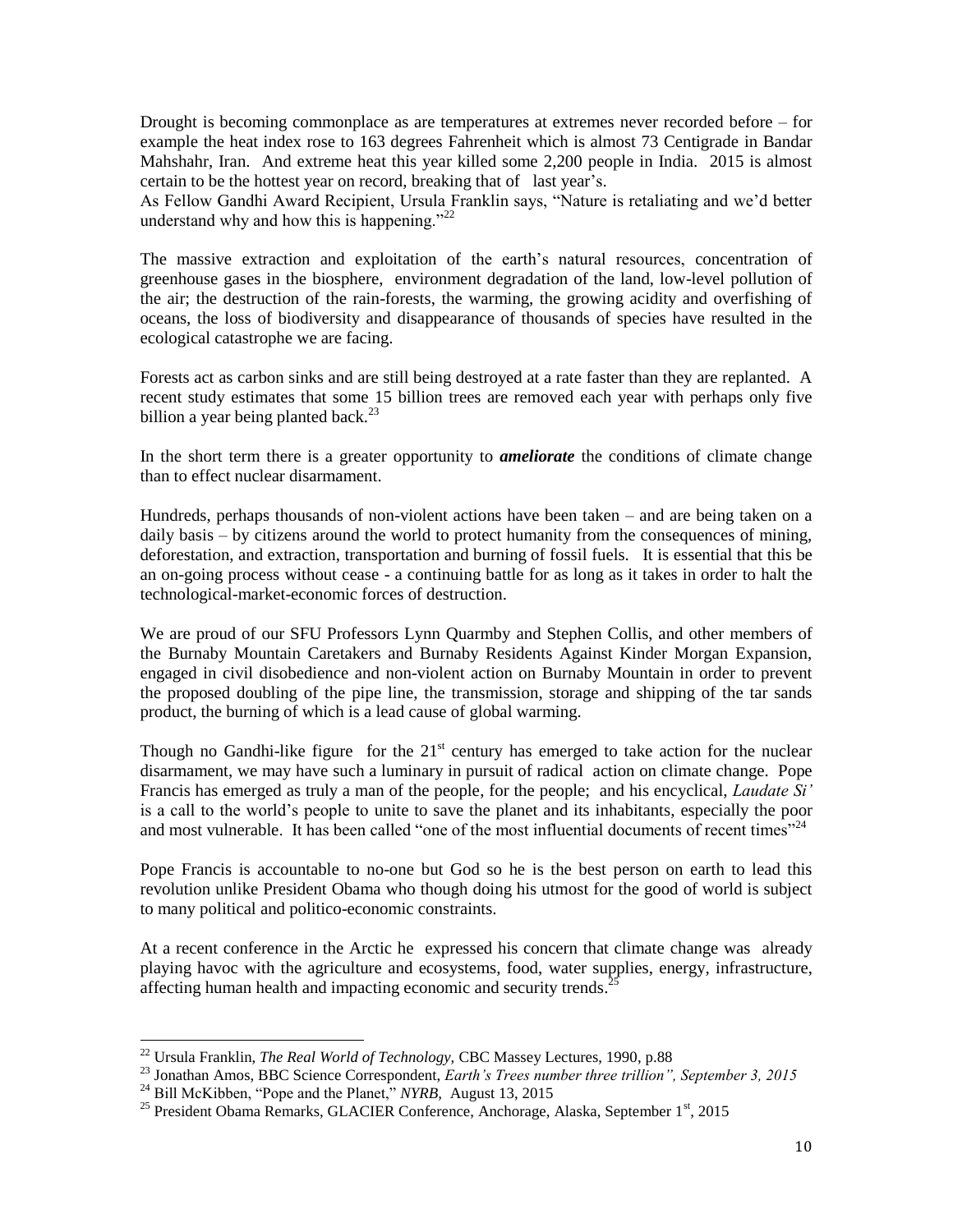Drought is becoming commonplace as are temperatures at extremes never recorded before – for example the heat index rose to 163 degrees Fahrenheit which is almost 73 Centigrade in Bandar Mahshahr, Iran. And extreme heat this year killed some 2,200 people in India. 2015 is almost certain to be the hottest year on record, breaking that of last year's.

As Fellow Gandhi Award Recipient, Ursula Franklin says, "Nature is retaliating and we'd better understand why and how this is happening." $^{22}$ 

The massive extraction and exploitation of the earth's natural resources, concentration of greenhouse gases in the biosphere, environment degradation of the land, low-level pollution of the air; the destruction of the rain-forests, the warming, the growing acidity and overfishing of oceans, the loss of biodiversity and disappearance of thousands of species have resulted in the ecological catastrophe we are facing.

Forests act as carbon sinks and are still being destroyed at a rate faster than they are replanted. A recent study estimates that some 15 billion trees are removed each year with perhaps only five billion a year being planted back.<sup>23</sup>

In the short term there is a greater opportunity to *ameliorate* the conditions of climate change than to effect nuclear disarmament.

Hundreds, perhaps thousands of non-violent actions have been taken – and are being taken on a daily basis – by citizens around the world to protect humanity from the consequences of mining, deforestation, and extraction, transportation and burning of fossil fuels. It is essential that this be an on-going process without cease - a continuing battle for as long as it takes in order to halt the technological-market-economic forces of destruction.

We are proud of our SFU Professors Lynn Quarmby and Stephen Collis, and other members of the Burnaby Mountain Caretakers and Burnaby Residents Against Kinder Morgan Expansion, engaged in civil disobedience and non-violent action on Burnaby Mountain in order to prevent the proposed doubling of the pipe line, the transmission, storage and shipping of the tar sands product, the burning of which is a lead cause of global warming.

Though no Gandhi-like figure for the  $21<sup>st</sup>$  century has emerged to take action for the nuclear disarmament, we may have such a luminary in pursuit of radical action on climate change. Pope Francis has emerged as truly a man of the people, for the people; and his encyclical, *Laudate Si'*  is a call to the world's people to unite to save the planet and its inhabitants, especially the poor and most vulnerable. It has been called "one of the most influential documents of recent times"<sup>24</sup>

Pope Francis is accountable to no-one but God so he is the best person on earth to lead this revolution unlike President Obama who though doing his utmost for the good of world is subject to many political and politico-economic constraints.

At a recent conference in the Arctic he expressed his concern that climate change was already playing havoc with the agriculture and ecosystems, food, water supplies, energy, infrastructure, affecting human health and impacting economic and security trends.<sup>25</sup>

<sup>22</sup> Ursula Franklin, *The Real World of Technology,* CBC Massey Lectures, 1990, p.88

<sup>23</sup> Jonathan Amos, BBC Science Correspondent, *Earth's Trees number three trillion", September 3, 2015*

<sup>&</sup>lt;sup>24</sup> Bill McKibben, "Pope and the Planet," *NYRB*, August 13, 2015

<sup>&</sup>lt;sup>25</sup> President Obama Remarks, GLACIER Conference, Anchorage, Alaska, September  $1<sup>st</sup>$ , 2015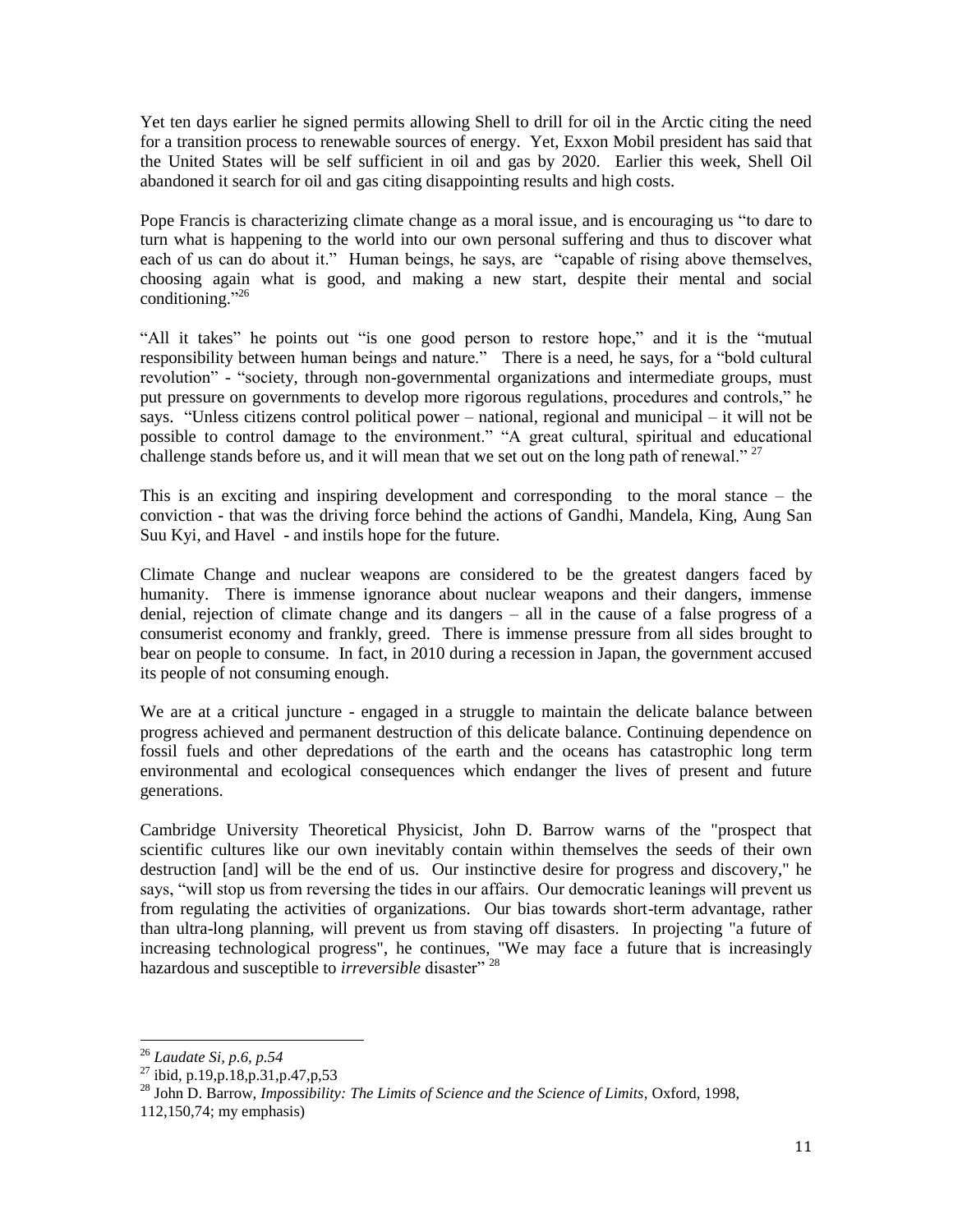Yet ten days earlier he signed permits allowing Shell to drill for oil in the Arctic citing the need for a transition process to renewable sources of energy. Yet, Exxon Mobil president has said that the United States will be self sufficient in oil and gas by 2020. Earlier this week, Shell Oil abandoned it search for oil and gas citing disappointing results and high costs.

Pope Francis is characterizing climate change as a moral issue, and is encouraging us "to dare to turn what is happening to the world into our own personal suffering and thus to discover what each of us can do about it." Human beings, he says, are "capable of rising above themselves, choosing again what is good, and making a new start, despite their mental and social conditioning." 26

"All it takes" he points out "is one good person to restore hope," and it is the "mutual responsibility between human beings and nature." There is a need, he says, for a "bold cultural revolution" - "society, through non-governmental organizations and intermediate groups, must put pressure on governments to develop more rigorous regulations, procedures and controls," he says. "Unless citizens control political power – national, regional and municipal – it will not be possible to control damage to the environment." "A great cultural, spiritual and educational challenge stands before us, and it will mean that we set out on the long path of renewal."  $27$ 

This is an exciting and inspiring development and corresponding to the moral stance – the conviction - that was the driving force behind the actions of Gandhi, Mandela, King, Aung San Suu Kyi, and Havel - and instils hope for the future.

Climate Change and nuclear weapons are considered to be the greatest dangers faced by humanity. There is immense ignorance about nuclear weapons and their dangers, immense denial, rejection of climate change and its dangers – all in the cause of a false progress of a consumerist economy and frankly, greed. There is immense pressure from all sides brought to bear on people to consume. In fact, in 2010 during a recession in Japan, the government accused its people of not consuming enough.

We are at a critical juncture - engaged in a struggle to maintain the delicate balance between progress achieved and permanent destruction of this delicate balance. Continuing dependence on fossil fuels and other depredations of the earth and the oceans has catastrophic long term environmental and ecological consequences which endanger the lives of present and future generations.

Cambridge University Theoretical Physicist, John D. Barrow warns of the "prospect that scientific cultures like our own inevitably contain within themselves the seeds of their own destruction [and] will be the end of us. Our instinctive desire for progress and discovery," he says, "will stop us from reversing the tides in our affairs. Our democratic leanings will prevent us from regulating the activities of organizations. Our bias towards short-term advantage, rather than ultra-long planning, will prevent us from staving off disasters. In projecting "a future of increasing technological progress", he continues, "We may face a future that is increasingly hazardous and susceptible to *irreversible* disaster"<sup>28</sup>

<sup>26</sup> *Laudate Si, p.6, p.54*

 $^{27}$  ibid, p.19,p.18,p.31,p.47,p.53

<sup>28</sup> John D. Barrow, *Impossibility: The Limits of Science and the Science of Limits*, Oxford, 1998, 112,150,74; my emphasis)